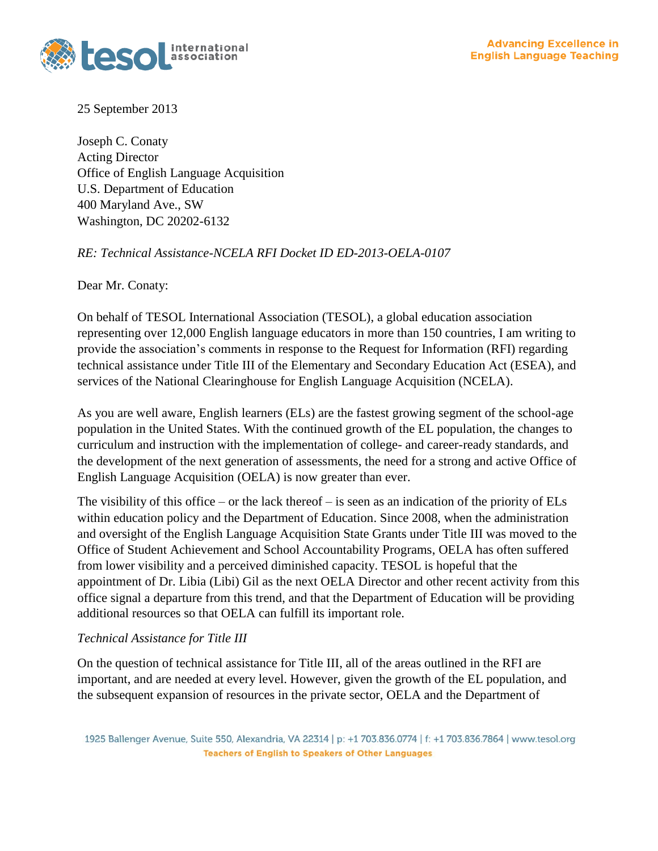

25 September 2013

Joseph C. Conaty Acting Director Office of English Language Acquisition U.S. Department of Education 400 Maryland Ave., SW Washington, DC 20202-6132

*RE: Technical Assistance-NCELA RFI Docket ID ED-2013-OELA-0107*

Dear Mr. Conaty:

On behalf of TESOL International Association (TESOL), a global education association representing over 12,000 English language educators in more than 150 countries, I am writing to provide the association's comments in response to the Request for Information (RFI) regarding technical assistance under Title III of the Elementary and Secondary Education Act (ESEA), and services of the National Clearinghouse for English Language Acquisition (NCELA).

As you are well aware, English learners (ELs) are the fastest growing segment of the school-age population in the United States. With the continued growth of the EL population, the changes to curriculum and instruction with the implementation of college- and career-ready standards, and the development of the next generation of assessments, the need for a strong and active Office of English Language Acquisition (OELA) is now greater than ever.

The visibility of this office – or the lack thereof – is seen as an indication of the priority of ELs within education policy and the Department of Education. Since 2008, when the administration and oversight of the English Language Acquisition State Grants under Title III was moved to the Office of Student Achievement and School Accountability Programs, OELA has often suffered from lower visibility and a perceived diminished capacity. TESOL is hopeful that the appointment of Dr. Libia (Libi) Gil as the next OELA Director and other recent activity from this office signal a departure from this trend, and that the Department of Education will be providing additional resources so that OELA can fulfill its important role.

## *Technical Assistance for Title III*

On the question of technical assistance for Title III, all of the areas outlined in the RFI are important, and are needed at every level. However, given the growth of the EL population, and the subsequent expansion of resources in the private sector, OELA and the Department of

<sup>1925</sup> Ballenger Avenue, Suite 550, Alexandria, VA 22314 | p: +1 703.836.0774 | f: +1 703.836.7864 | www.tesol.org **Teachers of English to Speakers of Other Languages**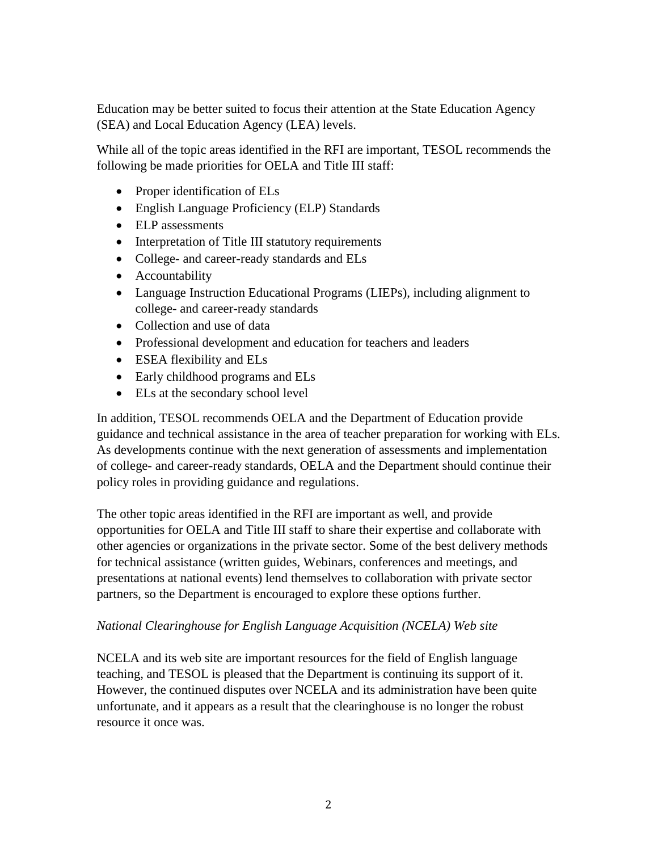Education may be better suited to focus their attention at the State Education Agency (SEA) and Local Education Agency (LEA) levels.

While all of the topic areas identified in the RFI are important, TESOL recommends the following be made priorities for OELA and Title III staff:

- Proper identification of ELs
- English Language Proficiency (ELP) Standards
- ELP assessments
- Interpretation of Title III statutory requirements
- College- and career-ready standards and ELs
- Accountability
- Language Instruction Educational Programs (LIEPs), including alignment to college- and career-ready standards
- Collection and use of data
- Professional development and education for teachers and leaders
- ESEA flexibility and ELs
- Early childhood programs and ELs
- ELs at the secondary school level

In addition, TESOL recommends OELA and the Department of Education provide guidance and technical assistance in the area of teacher preparation for working with ELs. As developments continue with the next generation of assessments and implementation of college- and career-ready standards, OELA and the Department should continue their policy roles in providing guidance and regulations.

The other topic areas identified in the RFI are important as well, and provide opportunities for OELA and Title III staff to share their expertise and collaborate with other agencies or organizations in the private sector. Some of the best delivery methods for technical assistance (written guides, Webinars, conferences and meetings, and presentations at national events) lend themselves to collaboration with private sector partners, so the Department is encouraged to explore these options further.

## *National Clearinghouse for English Language Acquisition (NCELA) Web site*

NCELA and its web site are important resources for the field of English language teaching, and TESOL is pleased that the Department is continuing its support of it. However, the continued disputes over NCELA and its administration have been quite unfortunate, and it appears as a result that the clearinghouse is no longer the robust resource it once was.